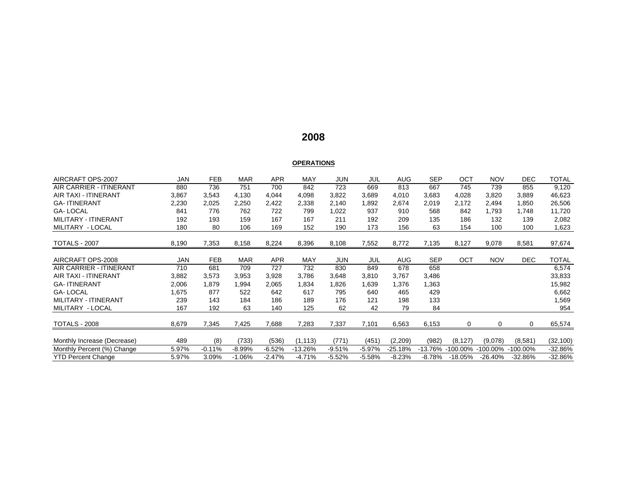# **2008**

#### **OPERATIONS**

| AIRCRAFT OPS-2007              | JAN   | <b>FEB</b> | <b>MAR</b> | <b>APR</b> | MAY      | JUN      | JUL      | AUG        | <b>SEP</b> | ОСТ        | <b>NOV</b> | DEC.      | TOTAL     |
|--------------------------------|-------|------------|------------|------------|----------|----------|----------|------------|------------|------------|------------|-----------|-----------|
| <b>AIR CARRIER - ITINERANT</b> | 880   | 736        | 751        | 700        | 842      | 723      | 669      | 813        | 667        | 745        | 739        | 855       | 9,120     |
| <b>AIR TAXI - ITINERANT</b>    | 3,867 | 3,543      | 4,130      | 4,044      | 4,098    | 3,822    | 3,689    | 4,010      | 3,683      | 4,028      | 3,820      | 3,889     | 46,623    |
| <b>GA-ITINERANT</b>            | 2,230 | 2,025      | 2,250      | 2,422      | 2,338    | 2,140    | 1,892    | 2,674      | 2,019      | 2,172      | 2,494      | 1,850     | 26,506    |
| <b>GA-LOCAL</b>                | 841   | 776        | 762        | 722        | 799      | 1,022    | 937      | 910        | 568        | 842        | 1,793      | 1,748     | 11,720    |
| MILITARY - ITINERANT           | 192   | 193        | 159        | 167        | 167      | 211      | 192      | 209        | 135        | 186        | 132        | 139       | 2,082     |
| MILITARY - LOCAL               | 180   | 80         | 106        | 169        | 152      | 190      | 173      | 156        | 63         | 154        | 100        | 100       | 1,623     |
| <b>TOTALS - 2007</b>           | 8,190 | 7,353      | 8,158      | 8,224      | 8,396    | 8,108    | 7,552    | 8,772      | 7,135      | 8,127      | 9,078      | 8,581     | 97,674    |
|                                |       |            |            |            |          |          |          |            |            |            |            |           |           |
| AIRCRAFT OPS-2008              | JAN   | <b>FEB</b> | <b>MAR</b> | <b>APR</b> | MAY      | JUN      | JUL      | <b>AUG</b> | <b>SEP</b> | OCT        | <b>NOV</b> | DEC.      | TOTAL     |
| <b>AIR CARRIER - ITINERANT</b> | 710   | 681        | 709        | 727        | 732      | 830      | 849      | 678        | 658        |            |            |           | 6,574     |
| <b>AIR TAXI - ITINERANT</b>    | 3,882 | 3,573      | 3,953      | 3,928      | 3,786    | 3,648    | 3,810    | 3,767      | 3,486      |            |            |           | 33,833    |
| <b>GA-ITINERANT</b>            | 2,006 | 1,879      | 1,994      | 2,065      | 1,834    | 1,826    | 1,639    | 1,376      | 1,363      |            |            |           | 15,982    |
| <b>GA-LOCAL</b>                | 1,675 | 877        | 522        | 642        | 617      | 795      | 640      | 465        | 429        |            |            |           | 6,662     |
| MILITARY - ITINERANT           | 239   | 143        | 184        | 186        | 189      | 176      | 121      | 198        | 133        |            |            |           | 1,569     |
| MILITARY - LOCAL               | 167   | 192        | 63         | 140        | 125      | 62       | 42       | 79         | 84         |            |            |           | 954       |
| <b>TOTALS - 2008</b>           | 8,679 | 7,345      | 7,425      | 7,688      | 7,283    | 7,337    | 7,101    | 6,563      | 6,153      | 0          | 0          | 0         | 65,574    |
|                                |       |            |            |            |          |          |          |            |            |            |            |           |           |
| Monthly Increase (Decrease)    | 489   | (8)        | (733)      | (536)      | (1, 113) | (771)    | (451)    | (2,209)    | (982)      | (8, 127)   | (9,078)    | (8,581)   | (32, 100) |
| Monthly Percent (%) Change     | 5.97% | $-0.11%$   | $-8.99%$   | $-6.52%$   | -13.26%  | $-9.51%$ | $-5.97%$ | $-25.18%$  | $-13.76%$  | -100.00%   | -100.00%   | 100.00%   | $-32.86%$ |
| <b>YTD Percent Change</b>      | 5.97% | 3.09%      | $-1.06%$   | $-2.47%$   | $-4.71%$ | $-5.52%$ | $-5.58%$ | $-8.23%$   | $-8.78%$   | $-18.05\%$ | $-26.40%$  | $-32.86%$ | $-32.86%$ |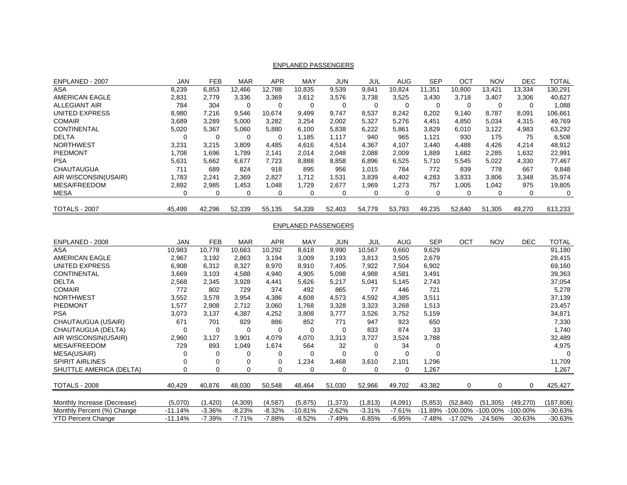| ENPLANED - 2007       | <b>JAN</b> | <b>FEB</b> | <b>MAR</b> | <b>APR</b> | <b>MAY</b> | JUN      | JUL    | AUG      | <b>SEP</b> | OCT    | <b>NOV</b> | DEC.     | <b>TOTAL</b> |
|-----------------------|------------|------------|------------|------------|------------|----------|--------|----------|------------|--------|------------|----------|--------------|
| <b>ASA</b>            | 8,239      | 6,853      | 12,466     | 12.788     | 10.835     | 9,539    | 9,841  | 10.824   | 11.351     | 10,800 | 13.421     | 13,334   | 130,291      |
| <b>AMERICAN EAGLE</b> | 2,831      | 2.779      | 3,336      | 3,369      | 3,612      | 3,576    | 3,738  | 3,525    | 3,430      | 3.718  | 3,407      | 3,306    | 40,627       |
| <b>ALLEGIANT AIR</b>  | 784        | 304        | 0          | 0          | 0          | $\Omega$ | 0      | $\Omega$ | $\Omega$   | 0      | 0          | $\Omega$ | 880,1        |
| <b>UNITED EXPRESS</b> | 8,980      | 7,216      | 9,546      | 10.674     | 9,499      | 9,747    | 8,537  | 8,242    | 8,202      | 9,140  | 8,787      | 8,091    | 106,661      |
| <b>COMAIR</b>         | 3,689      | 3,289      | 5,000      | 3,282      | 3,254      | 2,002    | 5,327  | 5,276    | 4.451      | 4,850  | 5,034      | 4,315    | 49,769       |
| <b>CONTINENTAL</b>    | 5,020      | 5,367      | 5,060      | 5,880      | 6,100      | 5,838    | 6,222  | 5,861    | 3,829      | 6,010  | 3,122      | 4,983    | 63,292       |
| <b>DELTA</b>          | 0          | 0          | $\Omega$   | 0          | 1.185      | 1,117    | 940    | 965      | 1.121      | 930    | 175        | 75       | 6,508        |
| <b>NORTHWEST</b>      | 3,231      | 3.215      | 3,809      | 4.485      | 4,616      | 4,514    | 4,367  | 4.107    | 3,440      | 4,488  | 4,426      | 4,214    | 48,912       |
| PIEDMONT              | 1.708      | 1,696      | 1.799      | 2.141      | 2,014      | 2.048    | 2,088  | 2.009    | .889       | 1,682  | 2,285      | 1,632    | 22,991       |
| <b>PSA</b>            | 5.631      | 5,662      | 6.677      | 7,723      | 8,888      | 8,858    | 6,896  | 6,525    | 5.710      | 5.545  | 5,022      | 4,330    | 77,467       |
| <b>CHAUTAUGUA</b>     | 711        | 689        | 824        | 918        | 895        | 956      | 1,015  | 784      | 772        | 839    | 778        | 667      | 9,848        |
| AIR WISCONSIN(USAIR)  | 1.783      | 2,241      | 2,369      | 2,827      | 1.712      | .531     | 3,839  | 4,402    | 4.283      | 3,833  | 3,806      | 3,348    | 35,974       |
| <b>MESA/FREEDOM</b>   | 2,892      | 2,985      | 1,453      | 1.048      | 1,729      | 2,677    | 1,969  | 1,273    | 757        | 1,005  | 1,042      | 975      | 19,805       |
| <b>MESA</b>           | 0          | 0          | 0          | 0          | 0          | 0        | 0      |          | 0          | 0      | 0          | $\Omega$ | 0            |
| <b>TOTALS - 2007</b>  | 45,499     | 42,296     | 52,339     | 55,135     | 54,339     | 52,403   | 54,779 | 53.793   | 49.235     | 52,840 | 51,305     | 49,270   | 613,233      |

### ENPLANED PASSENGERS

#### ENPLANED PASSENGERS

| ENPLANED - 2008             | <b>JAN</b> | <b>FEB</b> | <b>MAR</b> | <b>APR</b>  | <b>MAY</b> | <b>JUN</b> | JUL      | <b>AUG</b> | <b>SEP</b> | OCT         | <b>NOV</b>  | <b>DEC</b>  | <b>TOTAL</b> |
|-----------------------------|------------|------------|------------|-------------|------------|------------|----------|------------|------------|-------------|-------------|-------------|--------------|
| ASA                         | 10,983     | 10,778     | 10,663     | 10,292      | 8,618      | 9,990      | 10,567   | 9,660      | 9,629      |             |             |             | 91,180       |
| <b>AMERICAN EAGLE</b>       | 2,967      | 3,192      | 2,863      | 3,194       | 3,009      | 3,193      | 3,813    | 3,505      | 2,679      |             |             |             | 28,415       |
| UNITED EXPRESS              | 6,908      | 6,312      | 8,327      | 8,970       | 8,910      | 7,405      | 7,922    | 7,504      | 6,902      |             |             |             | 69,160       |
| <b>CONTINENTAL</b>          | 3,669      | 3,103      | 4,588      | 4,940       | 4,905      | 5,098      | 4,988    | 4,581      | 3,491      |             |             |             | 39,363       |
| <b>DELTA</b>                | 2,568      | 2,345      | 3,928      | 4,441       | 5,626      | 5,217      | 5,041    | 5,145      | 2,743      |             |             |             | 37,054       |
| <b>COMAIR</b>               | 772        | 802        | 729        | 374         | 492        | 865        | 77       | 446        | 721        |             |             |             | 5,278        |
| <b>NORTHWEST</b>            | 3,552      | 3,578      | 3,954      | 4,386       | 4,608      | 4,573      | 4,592    | 4,385      | 3,511      |             |             |             | 37,139       |
| <b>PIEDMONT</b>             | 1,577      | 2,908      | 2,712      | 3,060       | 1,768      | 3,328      | 3,323    | 3,268      | 1,513      |             |             |             | 23,457       |
| <b>PSA</b>                  | 3,073      | 3,137      | 4,387      | 4,252       | 3,808      | 3,777      | 3,526    | 3,752      | 5,159      |             |             |             | 34,871       |
| CHAUTAUGUA (USAIR)          | 671        | 701        | 929        | 886         | 852        | 771        | 947      | 923        | 650        |             |             |             | 7,330        |
| CHAUTAUGUA (DELTA)          | 0          | 0          | 0          | $\mathbf 0$ | $\Omega$   | -0         | 833      | 874        | 33         |             |             |             | 1,740        |
| AIR WISCONSIN(USAIR)        | 2,960      | 3,127      | 3,901      | 4,079       | 4,070      | 3,313      | 3,727    | 3,524      | 3,788      |             |             |             | 32,489       |
| <b>MESA/FREEDOM</b>         | 729        | 893        | 1,049      | 1,674       | 564        | 32         | 0        | 34         |            |             |             |             | 4,975        |
| MESA(USAIR)                 | 0          | 0          | 0          | 0           | 0          | 0          | 0        | 0          |            |             |             |             |              |
| <b>SPIRIT AIRLINES</b>      |            | 0          | 0          | 0           | 1,234      | 3,468      | 3,610    | 2,101      | 1,296      |             |             |             | 11,709       |
| SHUTTLE AMERICA (DELTA)     | 0          | 0          | 0          | 0           | 0          | 0          | 0        | 0          | 1,267      |             |             |             | 1,267        |
|                             |            |            |            |             |            |            |          |            |            |             |             |             |              |
| <b>TOTALS - 2008</b>        | 40,429     | 40,876     | 48,030     | 50,548      | 48,464     | 51,030     | 52,966   | 49,702     | 43,382     | 0           | 0           | 0           | 425,427      |
|                             |            |            |            |             |            |            |          |            |            |             |             |             |              |
| Monthly Increase (Decrease) | (5,070)    | (1,420)    | (4,309)    | (4, 587)    | (5,875)    | (1, 373)   | (1, 813) | (4,091)    | (5,853)    | (52, 840)   | (51, 305)   | (49,270)    | (187,806)    |
| Monthly Percent (%) Change  | $-11.14%$  | $-3.36%$   | $-8.23%$   | $-8.32%$    | $-10.81%$  | $-2.62%$   | $-3.31%$ | $-7.61%$   | $-11.89%$  | $-100.00\%$ | $-100.00\%$ | $-100.00\%$ | $-30.63%$    |
| YTD Percent Change          | $-11.14%$  | $-7.39%$   | -7.71%     | -7.88%      | $-8.52%$   | $-7.49%$   | $-6.85%$ | $-6.95%$   | -7.48%     | -17.02%     | $-24.56%$   | $-30.63%$   | $-30.63%$    |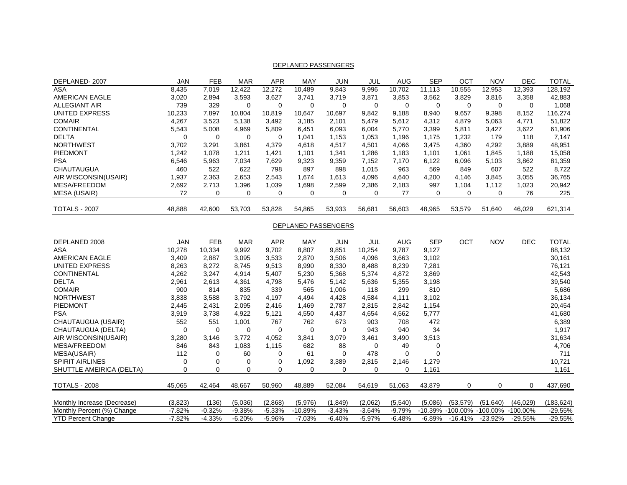| DEPLANED-2007         | JAN    | <b>FEB</b> | <b>MAR</b> | <b>APR</b> | <b>MAY</b> | JUN    | JUL    | <b>AUG</b> | <b>SEP</b> | OCT      | <b>NOV</b> | <b>DEC</b> | <b>TOTAL</b> |
|-----------------------|--------|------------|------------|------------|------------|--------|--------|------------|------------|----------|------------|------------|--------------|
| ASA                   | 8.435  | 7.019      | 12.422     | 12,272     | 10.489     | 9.843  | 9,996  | 10.702     | 11.113     | 10,555   | 12,953     | 12,393     | 128,192      |
| <b>AMERICAN EAGLE</b> | 3,020  | 2,894      | 3.593      | 3.627      | 3.741      | 3.719  | 3,871  | 3.853      | 3,562      | 3,829    | 3,816      | 3,358      | 42,883       |
| <b>ALLEGIANT AIR</b>  | 739    | 329        | 0          | 0          | 0          |        | 0      | 0          | 0          | $\Omega$ | 0          |            | 1,068        |
| <b>UNITED EXPRESS</b> | 10,233 | 7,897      | 10.804     | 10,819     | 10.647     | 10.697 | 9,842  | 9,188      | 8,940      | 9,657    | 9,398      | 8,152      | 116,274      |
| <b>COMAIR</b>         | 4,267  | 3,523      | 5,138      | 3,492      | 3,185      | 2.101  | 5,479  | 5,612      | 4,312      | 4,879    | 5,063      | 4.771      | 51,822       |
| <b>CONTINENTAL</b>    | 5,543  | 5.008      | 4.969      | 5,809      | 6,451      | 6,093  | 6,004  | 5,770      | 3,399      | 5,811    | 3.427      | 3,622      | 61,906       |
| <b>DELTA</b>          | 0      | $\Omega$   | 0          | 0          | 1.041      | 1.153  | 1.053  | 1,196      | 1.175      | 1.232    | 179        | 118        | 7.147        |
| <b>NORTHWEST</b>      | 3,702  | 3,291      | 3,861      | 4,379      | 4,618      | 4,517  | 4,501  | 4,066      | 3.475      | 4,360    | 4,292      | 3,889      | 48,951       |
| PIEDMONT              | 1.242  | 1,078      | 1,211      | 1,421      | 1,101      | 1,341  | 1,286  | 1,183      | 1,101      | 1,061    | 1,845      | 1,188      | 15,058       |
| <b>PSA</b>            | 6,546  | 5,963      | 7.034      | 7,629      | 9,323      | 9,359  | 7.152  | 7.170      | 6,122      | 6,096    | 5.103      | 3,862      | 81,359       |
| CHAUTAUGUA            | 460    | 522        | 622        | 798        | 897        | 898    | 1.015  | 963        | 569        | 849      | 607        | 522        | 8,722        |
| AIR WISCONSIN(USAIR)  | 1,937  | 2.363      | 2,653      | 2,543      | 1,674      | 1.613  | 4,096  | 4.640      | 4,200      | 4.146    | 3,845      | 3,055      | 36,765       |
| <b>MESA/FREEDOM</b>   | 2,692  | 2.713      | 1.396      | 1.039      | .698       | 2.599  | 2,386  | 2,183      | 997        | 1.104    | 1.112      | 1,023      | 20,942       |
| <b>MESA (USAIR)</b>   | 72     | $\Omega$   |            | 0          | 0          |        |        | 77         | 0          |          | 0          | 76         | 225          |
| <b>TOTALS - 2007</b>  | 48,888 | 42.600     | 53.703     | 53,828     | 54,865     | 53,933 | 56,681 | 56,603     | 48,965     | 53.579   | 51,640     | 46.029     | 621,314      |

#### DEPLANED PASSENGERS

#### DEPLANED PASSENGERS

| DEPLANED 2008               | <b>JAN</b> | <b>FEB</b> | <b>MAR</b> | <b>APR</b> | <b>MAY</b> | <b>JUN</b> | JUL      | <b>AUG</b> | <b>SEP</b> | OCT         | <b>NOV</b>  | DEC.        | <b>TOTAL</b> |
|-----------------------------|------------|------------|------------|------------|------------|------------|----------|------------|------------|-------------|-------------|-------------|--------------|
| ASA                         | 10,278     | 10,334     | 9,992      | 9,702      | 8,807      | 9,851      | 10,254   | 9,787      | 9,127      |             |             |             | 88,132       |
| <b>AMERICAN EAGLE</b>       | 3,409      | 2,887      | 3,095      | 3,533      | 2,870      | 3,506      | 4,096    | 3,663      | 3,102      |             |             |             | 30,161       |
| UNITED EXPRESS              | 8,263      | 8,272      | 8,745      | 9,513      | 8,990      | 8,330      | 8,488    | 8,239      | 7,281      |             |             |             | 76,121       |
| <b>CONTINENTAL</b>          | 4,262      | 3,247      | 4,914      | 5,407      | 5,230      | 5,368      | 5,374    | 4,872      | 3,869      |             |             |             | 42,543       |
| <b>DELTA</b>                | 2,961      | 2,613      | 4,361      | 4,798      | 5,476      | 5,142      | 5,636    | 5,355      | 3,198      |             |             |             | 39,540       |
| <b>COMAIR</b>               | 900        | 814        | 835        | 339        | 565        | 1,006      | 118      | 299        | 810        |             |             |             | 5,686        |
| <b>NORTHWEST</b>            | 3,838      | 3,588      | 3,792      | 4,197      | 4,494      | 4,428      | 4,584    | 4,111      | 3,102      |             |             |             | 36,134       |
| <b>PIEDMONT</b>             | 2,445      | 2,431      | 2,095      | 2,416      | 1,469      | 2,787      | 2,815    | 2,842      | 1,154      |             |             |             | 20,454       |
| <b>PSA</b>                  | 3,919      | 3,738      | 4,922      | 5,121      | 4,550      | 4,437      | 4,654    | 4,562      | 5,777      |             |             |             | 41,680       |
| CHAUTAUGUA (USAIR)          | 552        | 551        | 1,001      | 767        | 762        | 673        | 903      | 708        | 472        |             |             |             | 6,389        |
| CHAUTAUGUA (DELTA)          | 0          | 0          | 0          | 0          | 0          | -0         | 943      | 940        | 34         |             |             |             | 1,917        |
| AIR WISCONSIN(USAIR)        | 3,280      | 3,146      | 3,772      | 4,052      | 3,841      | 3,079      | 3,461    | 3,490      | 3,513      |             |             |             | 31,634       |
| MESA/FREEDOM                | 846        | 843        | 1,083      | 1,115      | 682        | 88         | 0        | 49         | 0          |             |             |             | 4,706        |
| MESA(USAIR)                 | 112        | 0          | 60         | 0          | 61         | $\Omega$   | 478      | 0          | $\Omega$   |             |             |             | 711          |
| <b>SPIRIT AIRLINES</b>      | 0          | 0          | 0          | 0          | 1,092      | 3,389      | 2,815    | 2,146      | 1,279      |             |             |             | 10,721       |
| SHUTTLE AMEIRICA (DELTA)    | 0          | 0          | 0          | 0          | 0          | 0          | 0        | 0          | 1,161      |             |             |             | 1,161        |
|                             |            |            |            |            |            |            |          |            |            |             |             |             |              |
| <b>TOTALS - 2008</b>        | 45,065     | 42,464     | 48,667     | 50,960     | 48,889     | 52,084     | 54,619   | 51,063     | 43,879     | $\Omega$    | 0           | 0           | 437,690      |
|                             |            |            |            |            |            |            |          |            |            |             |             |             |              |
| Monthly Increase (Decrease) | (3,823)    | (136)      | (5,036)    | (2,868)    | (5,976)    | (1,849)    | (2,062)  | (5,540)    | (5,086)    | (53, 579)   | (51, 640)   | (46, 029)   | (183, 624)   |
| Monthly Percent (%) Change  | $-7.82%$   | $-0.32%$   | $-9.38%$   | $-5.33%$   | $-10.89%$  | $-3.43%$   | $-3.64%$ | $-9.79%$   | -10.39%    | $-100.00\%$ | $-100.00\%$ | $-100.00\%$ | $-29.55%$    |
| <b>YTD Percent Change</b>   | $-7.82%$   | $-4.33%$   | $-6.20\%$  | $-5.96%$   | $-7.03%$   | $-6.40%$   | $-5.97%$ | $-6.48%$   | $-6.89%$   | -16.41%     | $-23.92\%$  | $-29.55%$   | -29.55%      |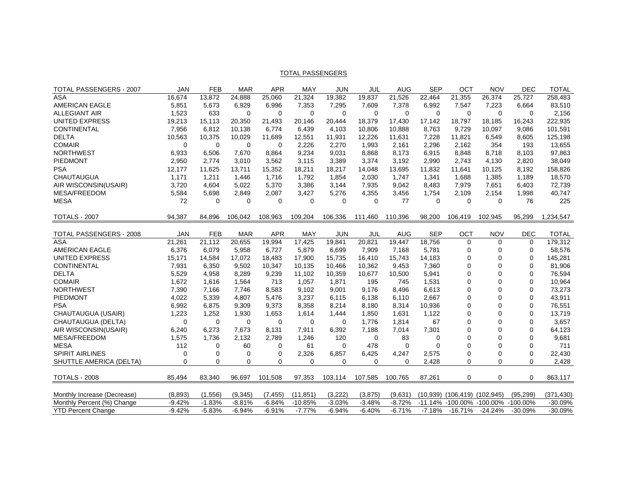| TOTAL PASSENGERS - 2007        | <b>JAN</b>  | <b>FEB</b>  | <b>MAR</b>  | <b>APR</b> | MAY       | <b>JUN</b> | JUL      | <b>AUG</b> | <b>SEP</b> | OCT                       | <b>NOV</b>  | <b>DEC</b>  | <b>TOTAL</b> |
|--------------------------------|-------------|-------------|-------------|------------|-----------|------------|----------|------------|------------|---------------------------|-------------|-------------|--------------|
| <b>ASA</b>                     | 16,674      | 13,872      | 24,888      | 25,060     | 21,324    | 19,382     | 19,837   | 21,526     | 22,464     | 21,355                    | 26,374      | 25,727      | 258,483      |
| <b>AMERICAN EAGLE</b>          | 5,851       | 5,673       | 6,929       | 6,996      | 7,353     | 7,295      | 7,609    | 7,378      | 6,992      | 7,547                     | 7,223       | 6,664       | 83,510       |
| <b>ALLEGIANT AIR</b>           | 1,523       | 633         | $\Omega$    | $\Omega$   | $\Omega$  | $\Omega$   | $\Omega$ | $\Omega$   | $\Omega$   | $\mathbf 0$               | $\Omega$    | $\Omega$    | 2,156        |
| <b>UNITED EXPRESS</b>          | 19,213      | 15,113      | 20,350      | 21,493     | 20,146    | 20,444     | 18,379   | 17,430     | 17,142     | 18,797                    | 18,185      | 16,243      | 222,935      |
| <b>CONTINENTAL</b>             | 7,956       | 6,812       | 10,138      | 6,774      | 6,439     | 4,103      | 10,806   | 10,888     | 8,763      | 9,729                     | 10,097      | 9,086       | 101,591      |
| <b>DELTA</b>                   | 10,563      | 10,375      | 10,029      | 11,689     | 12,551    | 11,931     | 12,226   | 11,631     | 7,228      | 11,821                    | 6,549       | 8,605       | 125,198      |
| <b>COMAIR</b>                  | $\mathbf 0$ | $\mathbf 0$ | 0           | 0          | 2,226     | 2,270      | 1,993    | 2,161      | 2,296      | 2,162                     | 354         | 193         | 13,655       |
| <b>NORTHWEST</b>               | 6,933       | 6,506       | 7,670       | 8,864      | 9,234     | 9,031      | 8,868    | 8,173      | 6,915      | 8,848                     | 8,718       | 8,103       | 97,863       |
| PIEDMONT                       | 2,950       | 2.774       | 3,010       | 3,562      | 3,115     | 3,389      | 3,374    | 3,192      | 2.990      | 2,743                     | 4,130       | 2,820       | 38,049       |
| <b>PSA</b>                     | 12,177      | 11,625      | 13,711      | 15,352     | 18,211    | 18,217     | 14,048   | 13,695     | 11,832     | 11,641                    | 10,125      | 8,192       | 158,826      |
| <b>CHAUTAUGUA</b>              | 1,171       | 1,211       | 1,446       | 1,716      | 1,792     | 1,854      | 2,030    | 1,747      | 1,341      | 1,688                     | 1,385       | 1,189       | 18,570       |
| AIR WISCONSIN(USAIR)           | 3,720       | 4,604       | 5,022       | 5,370      | 3,386     | 3,144      | 7,935    | 9,042      | 8,483      | 7,979                     | 7,651       | 6,403       | 72,739       |
| MESA/FREEDOM                   | 5,584       | 5,698       | 2,849       | 2,087      | 3,427     | 5,276      | 4,355    | 3,456      | 1,754      | 2,109                     | 2,154       | 1,998       | 40,747       |
| <b>MESA</b>                    | 72          | $\Omega$    | $\Omega$    | $\Omega$   | $\Omega$  | $\Omega$   | $\Omega$ | 77         | $\Omega$   | $\Omega$                  | $\Omega$    | 76          | 225          |
|                                |             |             |             |            |           |            |          |            |            |                           |             |             |              |
| <b>TOTALS - 2007</b>           | 94,387      | 84,896      | 106,042     | 108,963    | 109,204   | 106,336    | 111,460  | 110,396    | 98,200     | 106,419                   | 102,945     | 95,299      | 1,234,547    |
|                                |             |             |             |            |           |            |          |            |            |                           |             |             |              |
| <b>TOTAL PASSENGERS - 2008</b> | <b>JAN</b>  | <b>FEB</b>  | <b>MAR</b>  | <b>APR</b> | MAY       | <b>JUN</b> | JUL      | <b>AUG</b> | <b>SEP</b> | OCT                       | <b>NOV</b>  | <b>DEC</b>  | <b>TOTAL</b> |
| <b>ASA</b>                     | 21,261      | 21,112      | 20,655      | 19,994     | 17,425    | 19,841     | 20,821   | 19.447     | 18,756     | $\Omega$                  | $\Omega$    | $\Omega$    | 179,312      |
| <b>AMERICAN EAGLE</b>          | 6,376       | 6,079       | 5,958       | 6,727      | 5,879     | 6,699      | 7,909    | 7,168      | 5,781      | $\mathbf 0$               | $\Omega$    | $\mathbf 0$ | 58,576       |
| <b>UNITED EXPRESS</b>          | 15,171      | 14,584      | 17,072      | 18,483     | 17,900    | 15,735     | 16,410   | 15,743     | 14,183     | $\mathbf 0$               | $\Omega$    | $\mathbf 0$ | 145,281      |
| <b>CONTINENTAL</b>             | 7,931       | 6,350       | 9,502       | 10,347     | 10,135    | 10,466     | 10,362   | 9,453      | 7,360      | $\Omega$                  | $\Omega$    | $\mathbf 0$ | 81,906       |
| <b>DELTA</b>                   | 5,529       | 4,958       | 8,289       | 9,239      | 11,102    | 10,359     | 10,677   | 10,500     | 5,941      | $\mathbf 0$               | $\Omega$    | $\mathbf 0$ | 76,594       |
| <b>COMAIR</b>                  | 1,672       | 1,616       | 1,564       | 713        | 1,057     | 1,871      | 195      | 745        | 1,531      | $\mathbf 0$               | $\Omega$    | $\mathbf 0$ | 10,964       |
| <b>NORTHWEST</b>               | 7,390       | 7,166       | 7,746       | 8,583      | 9,102     | 9,001      | 9,176    | 8,496      | 6,613      | $\mathbf 0$               | $\Omega$    | $\mathbf 0$ | 73,273       |
| PIEDMONT                       | 4.022       | 5,339       | 4.807       | 5.476      | 3,237     | 6,115      | 6.138    | 6.110      | 2.667      | $\mathbf 0$               | $\Omega$    | $\mathbf 0$ | 43,911       |
| <b>PSA</b>                     | 6,992       | 6,875       | 9,309       | 9,373      | 8,358     | 8,214      | 8,180    | 8,314      | 10,936     | $\Omega$                  | $\Omega$    | $\Omega$    | 76,551       |
| CHAUTAUGUA (USAIR)             | 1,223       | 1,252       | 1,930       | 1,653      | 1,614     | 1,444      | 1,850    | 1,631      | 1,122      | $\mathbf 0$               | $\Omega$    | $\mathbf 0$ | 13,719       |
| CHAUTAUGUA (DELTA)             | 0           | $\mathbf 0$ | 0           | $\Omega$   | $\Omega$  | 0          | 1,776    | 1,814      | 67         | $\mathbf 0$               | $\Omega$    | $\mathbf 0$ | 3,657        |
| AIR WISCONSIN(USAIR)           | 6,240       | 6,273       | 7,673       | 8,131      | 7,911     | 6,392      | 7,188    | 7,014      | 7,301      | $\Omega$                  | $\Omega$    | $\mathbf 0$ | 64,123       |
| MESA/FREEDOM                   | 1,575       | 1,736       | 2,132       | 2,789      | 1,246     | 120        | $\Omega$ | 83         | $\Omega$   | $\Omega$                  | $\Omega$    | $\Omega$    | 9,681        |
| <b>MESA</b>                    | 112         | $\Omega$    | 60          | 0          | 61        | $\Omega$   | 478      | $\Omega$   | $\Omega$   | $\Omega$                  | $\Omega$    | $\Omega$    | 711          |
| <b>SPIRIT AIRLINES</b>         | 0           | $\mathbf 0$ | $\mathbf 0$ | 0          | 2,326     | 6,857      | 6,425    | 4,247      | 2,575      | $\mathbf 0$               | $\mathbf 0$ | 0           | 22,430       |
| SHUTTLE AMERICA (DELTA)        | $\Omega$    | $\Omega$    | 0           | $\Omega$   | $\Omega$  | $\Omega$   | 0        | $\Omega$   | 2,428      | $\Omega$                  | $\mathbf 0$ | $\Omega$    | 2,428        |
| <b>TOTALS - 2008</b>           | 85,494      | 83,340      | 96.697      | 101.508    | 97,353    | 103.114    | 107.585  | 100.765    | 87.261     | $\mathbf 0$               | $\mathbf 0$ | 0           | 863,117      |
|                                |             |             |             |            |           |            |          |            |            |                           |             |             |              |
| Monthly Increase (Decrease)    | (8,893)     | (1, 556)    | (9, 345)    | (7, 455)   | (11, 851) | (3,222)    | (3,875)  | (9,631)    | (10, 939)  | $(106, 419)$ $(102, 945)$ |             | (95, 299)   | (371, 430)   |
| Monthly Percent (%) Change     | $-9.42%$    | $-1.83%$    | $-8.81%$    | $-6.84%$   | $-10.85%$ | $-3.03%$   | $-3.48%$ | $-8.72%$   |            | -11.14% -100.00% -100.00% |             | $-100.00\%$ | $-30.09%$    |
| <b>YTD Percent Change</b>      | $-9.42%$    | $-5.83%$    | $-6.94%$    | $-6.91%$   | $-7.77%$  | $-6.94%$   | $-6.40%$ | $-6.71%$   | $-7.18%$   | $-16.71%$                 | $-24.24%$   | $-30.09%$   | $-30.09%$    |

#### TOTAL PASSENGERS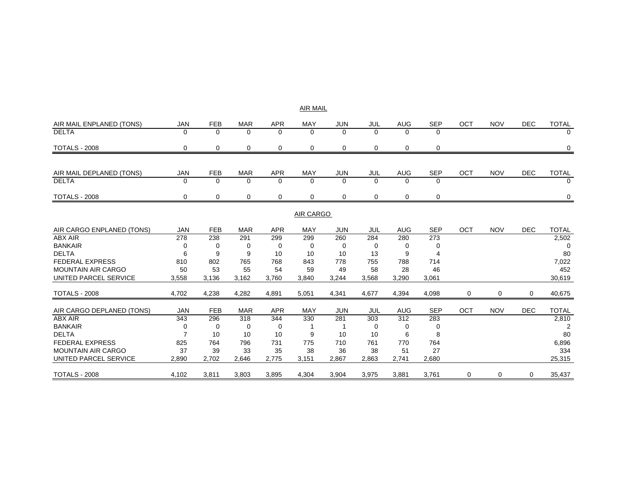## AIR MAIL AIR MAIL ENPLANED (TONS) JAN FEB MAR APR MAY JUN JUL AUG SEP OCT NOV DEC TOTAL **DELTA**  0 0 0 000 0 TOTALS - 2008 0 0 0 0 0 0 0 0 000 0 AIR MAIL DEPLANED (TONS) JAN FEB MAR APR MAY JUN JUL AUG SEP OCT NOV DEC TOTAL DELTA 0 0 0 0 0 0 0 000 0 TOTALS - 2008 0 0 0 0 0 0 0 0 000 0

#### <u>AIR CARGO</u>

| AIR CARGO ENPLANED (TONS) | <b>JAN</b> | <b>FEB</b> | <b>MAR</b> | <b>APR</b> | <b>MAY</b> | <b>JUN</b> | <b>JUL</b> | <b>AUG</b> | <b>SEP</b> | OCT | <b>NOV</b> | <b>DEC</b> | <b>TOTAL</b> |
|---------------------------|------------|------------|------------|------------|------------|------------|------------|------------|------------|-----|------------|------------|--------------|
| ABX AIR                   | 278        | 238        | 291        | 299        | 299        | 260        | 284        | 280        | 273        |     |            |            | 2,502        |
| <b>BANKAIR</b>            | 0          | 0          |            | 0          | 0          | $\Omega$   | 0          | 0          | $\Omega$   |     |            |            |              |
| <b>DELTA</b>              | 6          | 9          | 9          | 10         | 10         | 10         | 13         | 9          | 4          |     |            |            | 80           |
| <b>FEDERAL EXPRESS</b>    | 810        | 802        | 765        | 768        | 843        | 778        | 755        | 788        | 714        |     |            |            | 7,022        |
| <b>MOUNTAIN AIR CARGO</b> | 50         | 53         | 55         | 54         | 59         | 49         | 58         | 28         | 46         |     |            |            | 452          |
| UNITED PARCEL SERVICE     | 3,558      | 3,136      | 3,162      | 3,760      | 3,840      | 3,244      | 3,568      | 3,290      | 3,061      |     |            |            | 30,619       |
|                           |            |            |            |            |            |            |            |            |            |     |            |            |              |
| <b>TOTALS - 2008</b>      | 4,702      | 4,238      | 4,282      | 4,891      | 5,051      | 4,341      | 4,677      | 4,394      | 4,098      | 0   | 0          | 0          | 40,675       |
|                           |            |            |            |            |            |            |            |            |            |     |            |            |              |
| AIR CARGO DEPLANED (TONS) | JAN        | FEB        | <b>MAR</b> | <b>APR</b> | <b>MAY</b> | <b>JUN</b> | JUL        | AUG        | <b>SEP</b> | OCT | <b>NOV</b> | <b>DEC</b> | <b>TOTAL</b> |
| ABX AIR                   | 343        | 296        | 318        | 344        | 330        | 281        | 303        | 312        | 283        |     |            |            | 2,810        |
| <b>BANKAIR</b>            | 0          | 0          |            | 0          |            |            | 0          | $\Omega$   | 0          |     |            |            |              |
| <b>DELTA</b>              |            | 10         | 10         | 10         | 9          | 10         | 10         | 6          | 8          |     |            |            | 80           |
| <b>FEDERAL EXPRESS</b>    | 825        | 764        | 796        | 731        | 775        | 710        | 761        | 770        | 764        |     |            |            | 6,896        |
| <b>MOUNTAIN AIR CARGO</b> | 37         | 39         | 33         | 35         | 38         | 36         | 38         | 51         | 27         |     |            |            | 334          |
| UNITED PARCEL SERVICE     | 2,890      | 2,702      | 2,646      | 2,775      | 3,151      | 2,867      | 2,863      | 2,741      | 2,680      |     |            |            | 25,315       |
| <b>TOTALS - 2008</b>      | 4,102      | 3,811      | 3,803      | 3,895      | 4,304      | 3,904      | 3,975      | 3,881      | 3,761      | 0   | 0          | 0          | 35,437       |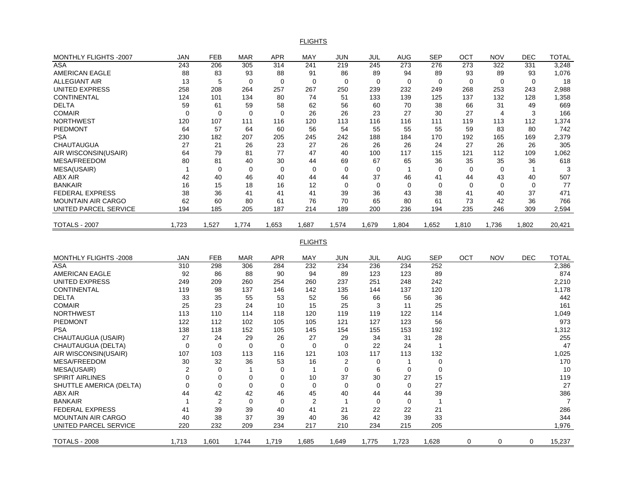FLIGHTS

| MONTHLY FLIGHTS -2007     | JAN            | <b>FEB</b>     | <b>MAR</b>  | <b>APR</b>  | <b>MAY</b>     | <b>JUN</b>     | JUL         | <b>AUG</b>   | <b>SEP</b>     | OCT         | <b>NOV</b>  | <b>DEC</b>   | <b>TOTAL</b>   |
|---------------------------|----------------|----------------|-------------|-------------|----------------|----------------|-------------|--------------|----------------|-------------|-------------|--------------|----------------|
| <b>ASA</b>                | 243            | 206            | 305         | 314         | 241            | 219            | 245         | 273          | 276            | 273         | 322         | 331          | 3,248          |
| AMERICAN EAGLE            | 88             | 83             | 93          | 88          | 91             | 86             | 89          | 94           | 89             | 93          | 89          | 93           | 1,076          |
| <b>ALLEGIANT AIR</b>      | 13             | 5              | $\Omega$    | $\Omega$    | $\mathbf 0$    | $\Omega$       | $\Omega$    | $\mathbf 0$  | $\mathbf 0$    | $\Omega$    | $\mathbf 0$ | $\mathbf 0$  | 18             |
| UNITED EXPRESS            | 258            | 208            | 264         | 257         | 267            | 250            | 239         | 232          | 249            | 268         | 253         | 243          | 2,988          |
| <b>CONTINENTAL</b>        | 124            | 101            | 134         | 80          | 74             | 51             | 133         | 139          | 125            | 137         | 132         | 128          | 1,358          |
| <b>DELTA</b>              | 59             | 61             | 59          | 58          | 62             | 56             | 60          | 70           | 38             | 66          | 31          | 49           | 669            |
| <b>COMAIR</b>             | $\Omega$       | $\Omega$       | $\Omega$    | $\Omega$    | 26             | 26             | 23          | 27           | 30             | 27          | 4           | 3            | 166            |
| NORTHWEST                 | 120            | 107            | 111         | 116         | 120            | 113            | 116         | 116          | 111            | 119         | 113         | 112          | 1,374          |
| PIEDMONT                  | 64             | 57             | 64          | 60          | 56             | 54             | 55          | 55           | 55             | 59          | 83          | 80           | 742            |
| <b>PSA</b>                | 230            | 182            | 207         | 205         | 245            | 242            | 188         | 184          | 170            | 192         | 165         | 169          | 2,379          |
| <b>CHAUTAUGUA</b>         | 27             | 21             | 26          | 23          | 27             | 26             | 26          | 26           | 24             | 27          | 26          | 26           | 305            |
| AIR WISCONSIN(USAIR)      | 64             | 79             | 81          | 77          | 47             | 40             | 100         | 117          | 115            | 121         | 112         | 109          | 1,062          |
| MESA/FREEDOM              | 80             | 81             | 40          | 30          | 44             | 69             | 67          | 65           | 36             | 35          | 35          | 36           | 618            |
| MESA(USAIR)               | $\mathbf{1}$   | 0              | 0           | 0           | 0              | $\mathbf 0$    | $\mathbf 0$ | $\mathbf{1}$ | 0              | 0           | 0           | $\mathbf{1}$ | 3              |
| ABX AIR                   | 42             | 40             | 46          | 40          | 44             | 44             | 37          | 46           | 41             | 44          | 43          | 40           | 507            |
| <b>BANKAIR</b>            | 16             | 15             | 18          | 16          | 12             | $\mathbf 0$    | $\mathbf 0$ | $\mathbf 0$  | $\mathbf 0$    | $\mathbf 0$ | 0           | $\mathbf 0$  | 77             |
| <b>FEDERAL EXPRESS</b>    | 38             | 36             | 41          | 41          | 41             | 39             | 36          | 43           | 38             | 41          | 40          | 37           | 471            |
| <b>MOUNTAIN AIR CARGO</b> | 62             | 60             | 80          | 61          | 76             | 70             | 65          | 80           | 61             | 73          | 42          | 36           | 766            |
| UNITED PARCEL SERVICE     | 194            | 185            | 205         | 187         | 214            | 189            | 200         | 236          | 194            | 235         | 246         | 309          | 2,594          |
|                           |                |                |             |             |                |                |             |              |                |             |             |              |                |
| <b>TOTALS - 2007</b>      | 1,723          | 1,527          | 1,774       | 1,653       | 1,687          | 1,574          | 1,679       | 1,804        | 1,652          | 1,810       | 1,736       | 1,802        | 20,421         |
|                           |                |                |             |             |                |                |             |              |                |             |             |              |                |
|                           |                |                |             |             | <b>FLIGHTS</b> |                |             |              |                |             |             |              |                |
| MONTHLY FLIGHTS -2008     | JAN            | <b>FEB</b>     | <b>MAR</b>  | <b>APR</b>  | MAY            | JUN            | JUL         | <b>AUG</b>   | <b>SEP</b>     | ОСТ         | <b>NOV</b>  | <b>DEC</b>   | <b>TOTAL</b>   |
| <b>ASA</b>                | 310            | 298            | 306         | 284         | 232            | 234            | 236         | 234          | 252            |             |             |              | 2,386          |
| <b>AMERICAN EAGLE</b>     | 92             | 86             | 88          | 90          | 94             | 89             | 123         | 123          | 89             |             |             |              | 874            |
| UNITED EXPRESS            | 249            | 209            | 260         | 254         | 260            | 237            | 251         | 248          | 242            |             |             |              | 2,210          |
| <b>CONTINENTAL</b>        | 119            | 98             | 137         | 146         | 142            | 135            | 144         | 137          | 120            |             |             |              | 1,178          |
| <b>DELTA</b>              | 33             | 35             | 55          | 53          | 52             | 56             | 66          | 56           | 36             |             |             |              | 442            |
| <b>COMAIR</b>             | 25             | 23             | 24          | 10          | 15             | 25             | 3           | 11           | 25             |             |             |              | 161            |
| <b>NORTHWEST</b>          | 113            | 110            | 114         | 118         | 120            | 119            | 119         | 122          | 114            |             |             |              | 1,049          |
| PIEDMONT                  | 122            | 112            | 102         | 105         | 105            | 121            | 127         | 123          | 56             |             |             |              | 973            |
| <b>PSA</b>                | 138            | 118            | 152         | 105         | 145            | 154            | 155         | 153          | 192            |             |             |              | 1,312          |
| CHAUTAUGUA (USAIR)        | 27             | 24             | 29          | 26          | 27             | 29             | 34          | 31           | 28             |             |             |              | 255            |
| CHAUTAUGUA (DELTA)        | $\mathbf 0$    | 0              | 0           | $\mathbf 0$ | 0              | $\mathbf 0$    | 22          | 24           | $\mathbf{1}$   |             |             |              | 47             |
| AIR WISCONSIN(USAIR)      | 107            | 103            | 113         | 116         | 121            | 103            | 117         | 113          | 132            |             |             |              | 1,025          |
| MESA/FREEDOM              | 30             | 32             | 36          | 53          | 16             | $\overline{2}$ | $\mathbf 0$ | $\mathbf{1}$ | $\mathbf 0$    |             |             |              | 170            |
| MESA(USAIR)               | 2              | $\mathbf 0$    | $\mathbf 1$ | $\mathbf 0$ | $\mathbf{1}$   | 0              | 6           | $\mathbf 0$  | $\mathbf 0$    |             |             |              | 10             |
| <b>SPIRIT AIRLINES</b>    | $\Omega$       | $\Omega$       | $\mathbf 0$ | $\Omega$    | 10             | 37             | 30          | 27           | 15             |             |             |              | 119            |
| SHUTTLE AMERICA (DELTA)   | $\mathbf 0$    | $\mathbf 0$    | $\mathbf 0$ | $\mathbf 0$ | $\mathbf 0$    | $\overline{0}$ | $\mathbf 0$ | $\mathbf 0$  | 27             |             |             |              | 27             |
| ABX AIR                   | 44             | 42             | 42          | 46          | 45             | 40             | 44          | 44           | 39             |             |             |              | 386            |
| <b>BANKAIR</b>            | $\overline{1}$ | $\overline{2}$ | $\mathbf 0$ | $\mathbf 0$ | $\overline{2}$ | 1              | $\mathbf 0$ | $\mathbf 0$  | $\overline{1}$ |             |             |              | $\overline{7}$ |
| <b>FEDERAL EXPRESS</b>    | 41             | 39             | 39          | 40          | 41             | 21             | 22          | 22           | 21             |             |             |              | 286            |
| <b>MOUNTAIN AIR CARGO</b> | 40             | 38             | 37          | 39          | 40             | 36             | 42          | 39           | 33             |             |             |              | 344            |
| UNITED PARCEL SERVICE     |                |                |             |             |                |                |             |              |                |             |             |              |                |
|                           |                |                |             |             |                |                |             |              |                |             |             |              |                |
|                           | 220            | 232            | 209         | 234         | 217            | 210            | 234         | 215          | 205            |             |             |              | 1,976          |